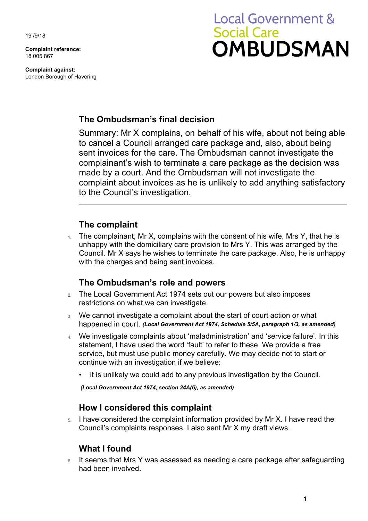19 /9/18

**Complaint reference:**  18 005 867

**Complaint against:**  London Borough of Havering

# **Local Government & Social Care OMBUDSMAN**

## **The Ombudsman's final decision**

 complainant's wish to terminate a care package as the decision was made by a court. And the Ombudsman will not investigate the Summary: Mr X complains, on behalf of his wife, about not being able to cancel a Council arranged care package and, also, about being sent invoices for the care. The Ombudsman cannot investigate the complaint about invoices as he is unlikely to add anything satisfactory to the Council's investigation.

### **The complaint**

The complainant, Mr X, complains with the consent of his wife, Mrs Y, that he is unhappy with the domiciliary care provision to Mrs Y. This was arranged by the Council. Mr X says he wishes to terminate the care package. Also, he is unhappy with the charges and being sent invoices.

#### **The Ombudsman's role and powers**

- 2. The Local Government Act 1974 sets out our powers but also imposes restrictions on what we can investigate.
- 3. We cannot investigate a complaint about the start of court action or what happened in court. *(Local Government Act 1974, Schedule 5/5A, paragraph 1/3, as amended)*
- service, but must use public money carefully. We may decide not to start or 4. We investigate complaints about 'maladministration' and 'service failure'. In this statement, I have used the word 'fault' to refer to these. We provide a free continue with an investigation if we believe:
	- it is unlikely we could add to any previous investigation by the Council.

 *(Local Government Act 1974, section 24A(6), as amended)* 

#### **How I considered this complaint**

5. I have considered the complaint information provided by Mr X. I have read the Council's complaints responses. I also sent Mr X my draft views.

## **What I found**

6. It seems that Mrs Y was assessed as needing a care package after safeguarding had been involved.